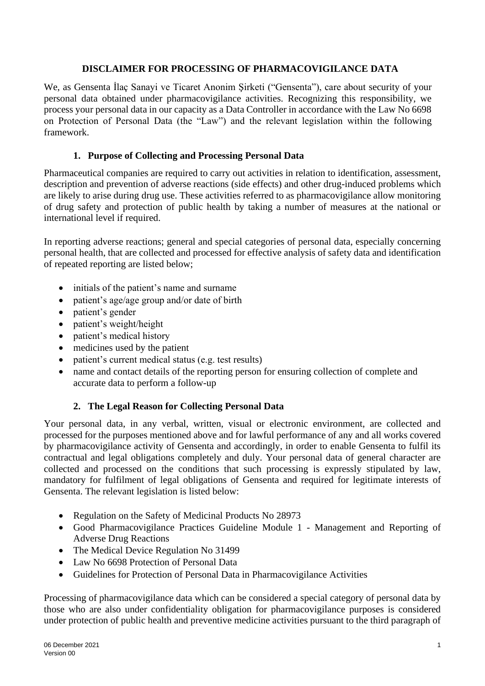# **DISCLAIMER FOR PROCESSING OF PHARMACOVIGILANCE DATA**

We, as Gensenta İlaç Sanayi ve Ticaret Anonim Şirketi ("Gensenta"), care about security of your personal data obtained under pharmacovigilance activities. Recognizing this responsibility, we process your personal data in our capacity as a Data Controller in accordance with the Law No 6698 on Protection of Personal Data (the "Law") and the relevant legislation within the following framework.

## **1. Purpose of Collecting and Processing Personal Data**

Pharmaceutical companies are required to carry out activities in relation to identification, assessment, description and prevention of adverse reactions (side effects) and other drug-induced problems which are likely to arise during drug use. These activities referred to as pharmacovigilance allow monitoring of drug safety and protection of public health by taking a number of measures at the national or international level if required.

In reporting adverse reactions; general and special categories of personal data, especially concerning personal health, that are collected and processed for effective analysis of safety data and identification of repeated reporting are listed below;

- initials of the patient's name and surname
- patient's age/age group and/or date of birth
- patient's gender
- patient's weight/height
- patient's medical history
- medicines used by the patient
- patient's current medical status (e.g. test results)
- name and contact details of the reporting person for ensuring collection of complete and accurate data to perform a follow-up

# **2. The Legal Reason for Collecting Personal Data**

Your personal data, in any verbal, written, visual or electronic environment, are collected and processed for the purposes mentioned above and for lawful performance of any and all works covered by pharmacovigilance activity of Gensenta and accordingly, in order to enable Gensenta to fulfil its contractual and legal obligations completely and duly. Your personal data of general character are collected and processed on the conditions that such processing is expressly stipulated by law, mandatory for fulfilment of legal obligations of Gensenta and required for legitimate interests of Gensenta. The relevant legislation is listed below:

- Regulation on the Safety of Medicinal Products No 28973
- Good Pharmacovigilance Practices Guideline Module 1 Management and Reporting of Adverse Drug Reactions
- The Medical Device Regulation No 31499
- Law No 6698 Protection of Personal Data
- Guidelines for Protection of Personal Data in Pharmacovigilance Activities

Processing of pharmacovigilance data which can be considered a special category of personal data by those who are also under confidentiality obligation for pharmacovigilance purposes is considered under protection of public health and preventive medicine activities pursuant to the third paragraph of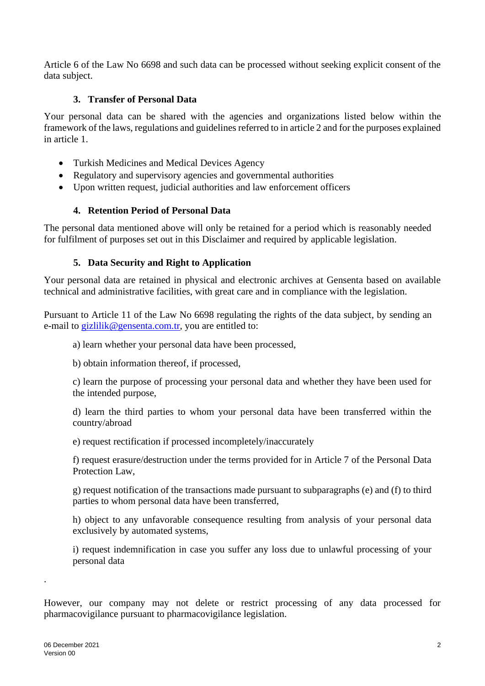Article 6 of the Law No 6698 and such data can be processed without seeking explicit consent of the data subject.

# **3. Transfer of Personal Data**

Your personal data can be shared with the agencies and organizations listed below within the framework of the laws, regulations and guidelines referred to in article 2 and for the purposes explained in article 1.

- Turkish Medicines and Medical Devices Agency
- Regulatory and supervisory agencies and governmental authorities
- Upon written request, judicial authorities and law enforcement officers

#### **4. Retention Period of Personal Data**

The personal data mentioned above will only be retained for a period which is reasonably needed for fulfilment of purposes set out in this Disclaimer and required by applicable legislation.

## **5. Data Security and Right to Application**

Your personal data are retained in physical and electronic archives at Gensenta based on available technical and administrative facilities, with great care and in compliance with the legislation.

Pursuant to Article 11 of the Law No 6698 regulating the rights of the data subject, by sending an e-mail to gizlilik@gensenta.com.tr, you are entitled to:

a) learn whether your personal data have been processed,

b) obtain information thereof, if processed,

c) learn the purpose of processing your personal data and whether they have been used for the intended purpose,

d) learn the third parties to whom your personal data have been transferred within the country/abroad

e) request rectification if processed incompletely/inaccurately

f) request erasure/destruction under the terms provided for in Article 7 of the Personal Data Protection Law,

g) request notification of the transactions made pursuant to subparagraphs (e) and (f) to third parties to whom personal data have been transferred,

h) object to any unfavorable consequence resulting from analysis of your personal data exclusively by automated systems,

i) request indemnification in case you suffer any loss due to unlawful processing of your personal data

However, our company may not delete or restrict processing of any data processed for pharmacovigilance pursuant to pharmacovigilance legislation.

.